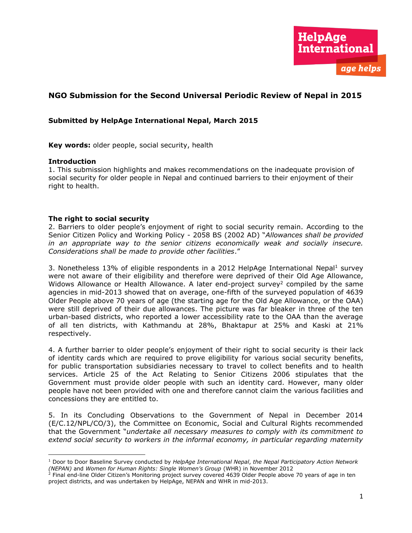# **NGO Submission for the Second Universal Periodic Review of Nepal in 2015**

## **Submitted by HelpAge International Nepal, March 2015**

**Key words:** older people, social security, health

#### **Introduction**

 $\overline{\phantom{a}}$ 

1. This submission highlights and makes recommendations on the inadequate provision of social security for older people in Nepal and continued barriers to their enjoyment of their right to health.

#### **The right to social security**

2. Barriers to older people's enjoyment of right to social security remain. According to the Senior Citizen Policy and Working Policy - 2058 BS (2002 AD) "*Allowances shall be provided in an appropriate way to the senior citizens economically weak and socially insecure. Considerations shall be made to provide other facilities*."

3. Nonetheless 13% of eligible respondents in a 2012 HelpAge International Nepal<sup>1</sup> survey were not aware of their eligibility and therefore were deprived of their Old Age Allowance, Widows Allowance or Health Allowance. A later end-project survey<sup>2</sup> compiled by the same agencies in mid-2013 showed that on average, one-fifth of the surveyed population of 4639 Older People above 70 years of age (the starting age for the Old Age Allowance, or the OAA) were still deprived of their due allowances. The picture was far bleaker in three of the ten urban-based districts, who reported a lower accessibility rate to the OAA than the average of all ten districts, with Kathmandu at 28%, Bhaktapur at 25% and Kaski at 21% respectively.

4. A further barrier to older people's enjoyment of their right to social security is their lack of identity cards which are required to prove eligibility for various social security benefits, for public transportation subsidiaries necessary to travel to collect benefits and to health services. Article 25 of the Act Relating to Senior Citizens 2006 stipulates that the Government must provide older people with such an identity card. However, many older people have not been provided with one and therefore cannot claim the various facilities and concessions they are entitled to.

5. In its Concluding Observations to the Government of Nepal in December 2014 (E/C.12/NPL/CO/3), the Committee on Economic, Social and Cultural Rights recommended that the Government "*undertake all necessary measures to comply with its commitment to extend social security to workers in the informal economy, in particular regarding maternity* 

<sup>1</sup> Door to Door Baseline Survey conducted by *HelpAge International Nepal*, *the Nepal Participatory Action Network (NEPAN)* and *Women for Human Rights: Single Women's Group* (WHR) in November 2012<br><sup>2</sup> Final end-line Older Citizen's Monitoring project survey covered 4639 Older People above 70 years of age in ten

project districts, and was undertaken by HelpAge, NEPAN and WHR in mid-2013.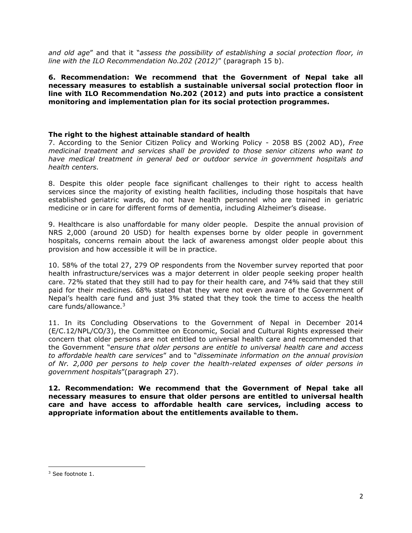*and old age*" and that it "*assess the possibility of establishing a social protection floor, in line with the ILO Recommendation No.202 (2012)*" (paragraph 15 b).

**6. Recommendation: We recommend that the Government of Nepal take all necessary measures to establish a sustainable universal social protection floor in line with ILO Recommendation No.202 (2012) and puts into practice a consistent monitoring and implementation plan for its social protection programmes.** 

### **The right to the highest attainable standard of health**

7. According to the Senior Citizen Policy and Working Policy - 2058 BS (2002 AD), *Free medicinal treatment and services shall be provided to those senior citizens who want to have medical treatment in general bed or outdoor service in government hospitals and health centers.*

8. Despite this older people face significant challenges to their right to access health services since the majority of existing health facilities, including those hospitals that have established geriatric wards, do not have health personnel who are trained in geriatric medicine or in care for different forms of dementia, including Alzheimer's disease.

9. Healthcare is also unaffordable for many older people. Despite the annual provision of NRS 2,000 (around 20 USD) for health expenses borne by older people in government hospitals, concerns remain about the lack of awareness amongst older people about this provision and how accessible it will be in practice.

10. 58% of the total 27, 279 OP respondents from the November survey reported that poor health infrastructure/services was a major deterrent in older people seeking proper health care. 72% stated that they still had to pay for their health care, and 74% said that they still paid for their medicines. 68% stated that they were not even aware of the Government of Nepal's health care fund and just 3% stated that they took the time to access the health care funds/allowance.3

11. In its Concluding Observations to the Government of Nepal in December 2014 (E/C.12/NPL/CO/3), the Committee on Economic, Social and Cultural Rights expressed their concern that older persons are not entitled to universal health care and recommended that the Government "*ensure that older persons are entitle to universal health care and access to affordable health care services*" and to "*disseminate information on the annual provision of Nr. 2,000 per persons to help cover the health-related expenses of older persons in government hospitals*"(paragraph 27).

**12. Recommendation: We recommend that the Government of Nepal take all necessary measures to ensure that older persons are entitled to universal health care and have access to affordable health care services, including access to appropriate information about the entitlements available to them.** 

 $\overline{\phantom{a}}$ 

<sup>&</sup>lt;sup>3</sup> See footnote 1.